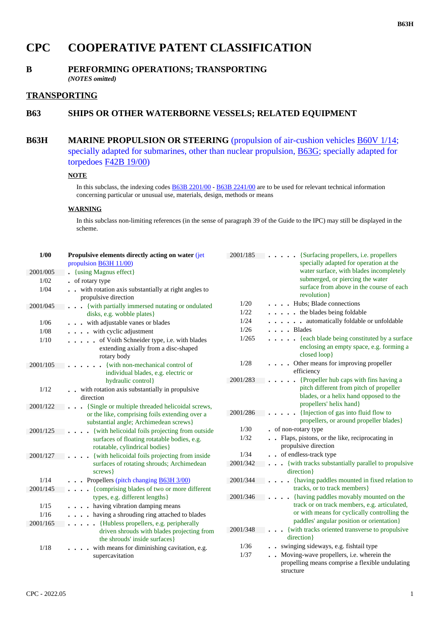# **CPC COOPERATIVE PATENT CLASSIFICATION**

## **B PERFORMING OPERATIONS; TRANSPORTING** *(NOTES omitted)*

## **TRANSPORTING**

## **B63 SHIPS OR OTHER WATERBORNE VESSELS; RELATED EQUIPMENT**

## **B63H MARINE PROPULSION OR STEERING (propulsion of air-cushion vehicles <b>B60V** 1/14; specially adapted for submarines, other than nuclear propulsion, B63G; specially adapted for torpedoes F42B 19/00)

## **NOTE**

In this subclass, the indexing codes  $\under{B63B}$  2201/00 -  $\under{B63B}$  2241/00 are to be used for relevant technical information concerning particular or unusual use, materials, design, methods or means

## **WARNING**

In this subclass non-limiting references (in the sense of paragraph 39 of the Guide to the IPC) may still be displayed in the scheme.

| $1/00$   | Propulsive elements directly acting on water (jet                                                  | 2001/185 | {Surfacing propellers, i.e. propellers                                                                       |
|----------|----------------------------------------------------------------------------------------------------|----------|--------------------------------------------------------------------------------------------------------------|
|          | propulsion <b>B63H 11/00</b> )                                                                     |          | specially adapted for operation at the                                                                       |
| 2001/005 | • {using Magnus effect}                                                                            |          | water surface, with blades incompletely                                                                      |
| $1/02$   | • of rotary type                                                                                   |          | submerged, or piercing the water                                                                             |
| 1/04     | . . with rotation axis substantially at right angles to                                            |          | surface from above in the course of each                                                                     |
|          | propulsive direction                                                                               |          | revolution}                                                                                                  |
| 2001/045 | . {with partially immersed nutating or ondulated                                                   | 1/20     | . Hubs; Blade connections                                                                                    |
|          | disks, e.g. wobble plates}                                                                         | 1/22     | . the blades being foldable                                                                                  |
| $1/06$   | . with adjustable vanes or blades                                                                  | 1/24     | . automatically foldable or unfoldable                                                                       |
| $1/08$   | . with cyclic adjustment                                                                           | 1/26     | . Blades                                                                                                     |
| 1/10     | . of Voith Schneider type, i.e. with blades<br>extending axially from a disc-shaped<br>rotary body | 1/265    | . {each blade being constituted by a surface<br>enclosing an empty space, e.g. forming a<br>closed loop}     |
| 2001/105 | {with non-mechanical control of<br>.<br>individual blades, e.g. electric or                        | 1/28     | . Other means for improving propeller<br>efficiency                                                          |
|          | hydraulic control}                                                                                 | 2001/283 | . {Propeller hub caps with fins having a                                                                     |
| 1/12     | . . with rotation axis substantially in propulsive<br>direction                                    |          | pitch different from pitch of propeller<br>blades, or a helix hand opposed to the<br>propellers' helix hand} |
| 2001/122 | [Single or multiple threaded helicoidal screws,                                                    |          | {Injection of gas into fluid flow to                                                                         |
|          | or the like, comprising foils extending over a<br>substantial angle; Archimedean screws}           | 2001/286 | $\cdot$ $\cdot$ $\cdot$<br>propellers, or around propeller blades}                                           |
| 2001/125 | . {with helicoidal foils projecting from outside                                                   | 1/30     | • of non-rotary type                                                                                         |
|          | surfaces of floating rotatable bodies, e.g.<br>rotatable, cylindrical bodies}                      | 1/32     | . Flaps, pistons, or the like, reciprocating in<br>propulsive direction                                      |
| 2001/127 | {with helicoidal foils projecting from inside<br>.                                                 | 1/34     | . . of endless-track type                                                                                    |
|          | surfaces of rotating shrouds; Archimedean<br>screws }                                              | 2001/342 | . {with tracks substantially parallel to propulsive<br>direction }                                           |
| 1/14     | . Propellers (pitch changing <b>B63H 3/00</b> )                                                    | 2001/344 | . {having paddles mounted in fixed relation to                                                               |
| 2001/145 | . {comprising blades of two or more different                                                      |          | tracks, or to track members}                                                                                 |
|          | types, e.g. different lengths }                                                                    | 2001/346 | {having paddles movably mounted on the<br>.                                                                  |
| 1/15     | . having vibration damping means                                                                   |          | track or on track members, e.g. articulated,                                                                 |
| 1/16     | . having a shrouding ring attached to blades                                                       |          | or with means for cyclically controlling the                                                                 |
| 2001/165 | . {Hubless propellers, e.g. peripherally                                                           |          | paddles' angular position or orientation}                                                                    |
|          | driven shrouds with blades projecting from<br>the shrouds' inside surfaces }                       | 2001/348 | {with tracks oriented transverse to propulsive<br>direction}                                                 |
| 1/18     | . with means for diminishing cavitation, e.g.                                                      | 1/36     | . . swinging sideways, e.g. fishtail type                                                                    |
|          | supercavitation                                                                                    | 1/37     | . Moving-wave propellers, i.e. wherein the<br>propelling means comprise a flexible undulating<br>structure   |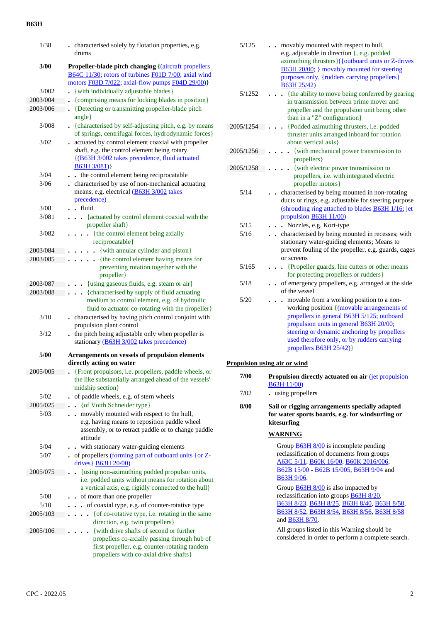| 1/38     | . characterised solely by flotation properties, e.g.                                                                                                                                |
|----------|-------------------------------------------------------------------------------------------------------------------------------------------------------------------------------------|
|          | drums                                                                                                                                                                               |
| 3/00     | <b>Propeller-blade pitch changing {(aircraft propellers)</b><br>B64C 11/30; rotors of turbines F01D 7/00; axial wind                                                                |
|          | motors F03D 7/022; axial-flow pumps F04D 29/00)}                                                                                                                                    |
| 3/002    | {with individually adjustable blades}                                                                                                                                               |
| 2003/004 | {comprising means for locking blades in position}                                                                                                                                   |
| 2003/006 | {Detecting or transmitting propeller-blade pitch                                                                                                                                    |
|          | angle}                                                                                                                                                                              |
| 3/008    | . {characterised by self-adjusting pitch, e.g. by means<br>of springs, centrifugal forces, hydrodynamic forces}                                                                     |
| 3/02     | actuated by control element coaxial with propeller<br>shaft, e.g. the control element being rotary                                                                                  |
|          | {(B63H 3/002 takes precedence, fluid actuated<br>B63H 3/081)}                                                                                                                       |
| 3/04     | the control element being reciprocatable                                                                                                                                            |
| 3/06     | characterised by use of non-mechanical actuating<br>means, e.g. electrical (B63H 3/002 takes<br>precedence)                                                                         |
| 3/08     | $\blacksquare$ . fluid                                                                                                                                                              |
| 3/081    | {actuated by control element coaxial with the<br>.<br>propeller shaft}                                                                                                              |
| 3/082    | {the control element being axially<br>reciprocatable}                                                                                                                               |
| 2003/084 | {with annular cylinder and piston}                                                                                                                                                  |
| 2003/085 | {the control element having means for                                                                                                                                               |
|          | preventing rotation together with the<br>propeller}                                                                                                                                 |
| 2003/087 | {using gaseous fluids, e.g. steam or air}                                                                                                                                           |
| 2003/088 | {characterised by supply of fluid actuating<br>$\ddot{\phantom{0}}$<br>medium to control element, e.g. of hydraulic<br>fluid to actuator co-rotating with the propeller}            |
| 3/10     | . characterised by having pitch control conjoint with<br>propulsion plant control                                                                                                   |
| 3/12     | the pitch being adjustable only when propeller is<br>stationary (B63H 3/002 takes precedence)                                                                                       |
| 5/00     | Arrangements on vessels of propulsion elements<br>directly acting on water                                                                                                          |
| 2005/005 | Front propulsors, i.e. propellers, paddle wheels, or<br>the like substantially arranged ahead of the vessels'<br>midship section}                                                   |
| 5/02     | of paddle wheels, e.g. of stern wheels                                                                                                                                              |
| 2005/025 | {of Voith Schneider type}                                                                                                                                                           |
| 5/03     | movably mounted with respect to the hull,<br>$\ddot{\phantom{0}}$<br>e.g. having means to reposition paddle wheel<br>assembly, or to retract paddle or to change paddle<br>attitude |
| 5/04     | with stationary water-guiding elements                                                                                                                                              |
| 5/07     | of propellers (forming part of outboard units { or Z-<br>drives } <b>B63H 20/00</b> )                                                                                               |
| 2005/075 | {using non-azimuthing podded propulsor units,<br>i.e. podded units without means for rotation about<br>a vertical axis, e.g. rigidly connected to the hull}                         |
| 5/08     | of more than one propeller                                                                                                                                                          |
| 5/10     | of coaxial type, e.g. of counter-rotative type                                                                                                                                      |
| 2005/103 | {of co-rotative type, i.e. rotating in the same<br>$\ddot{\phantom{0}}$                                                                                                             |
|          | direction, e.g. twin propellers }                                                                                                                                                   |
| 2005/106 | {with drive shafts of second or further                                                                                                                                             |
|          | propellers co-axially passing through hub of<br>first propeller, e.g. counter-rotating tandem<br>propellers with co-axial drive shafts}                                             |

| 5/125<br>5/1252 | movably mounted with respect to hull,<br>e.g. adjustable in direction {, e.g. podded<br>azimuthing thrusters}({outboard units or Z-drives<br>B63H 20/00; } movably mounted for steering<br>purposes only, {rudders carrying propellers}<br>B63H 25/42)<br>{the ability to move being conferred by gearing                         |
|-----------------|-----------------------------------------------------------------------------------------------------------------------------------------------------------------------------------------------------------------------------------------------------------------------------------------------------------------------------------|
|                 | in transmission between prime mover and<br>propeller and the propulsion unit being other<br>than in a "Z" configuration}                                                                                                                                                                                                          |
| 2005/1254       | {Podded azimuthing thrusters, i.e. podded<br>thruster units arranged inboard for rotation<br>about vertical axis}                                                                                                                                                                                                                 |
| 2005/1256       | {with mechanical power transmission to<br>propellers }                                                                                                                                                                                                                                                                            |
| 2005/1258       | {with electric power transmission to<br>propellers, i.e. with integrated electric<br>propeller motors}                                                                                                                                                                                                                            |
| 5/14            | characterised by being mounted in non-rotating<br>ducts or rings, e.g. adjustable for steering purpose<br>(shrouding ring attached to blades <b>B63H 1/16</b> ; jet<br>propulsion <b>B63H 11/00</b> )                                                                                                                             |
| 5/15            | . Nozzles, e.g. Kort-type                                                                                                                                                                                                                                                                                                         |
| 5/16            | characterised by being mounted in recesses; with<br>stationary water-guiding elements; Means to<br>prevent fouling of the propeller, e.g. guards, cages<br>or screens                                                                                                                                                             |
| 5/165           | • {Propeller guards, line cutters or other means<br>for protecting propellers or rudders}                                                                                                                                                                                                                                         |
| 5/18            | • of emergency propellers, e.g. arranged at the side<br>of the vessel                                                                                                                                                                                                                                                             |
| 5/20            | movable from a working position to a non-<br>working position {(movable arrangements of<br>propellers in general <b>B63H 5/125</b> ; outboard<br>propulsion units in general <b>B63H 20/00</b> ;<br>steering or dynamic anchoring by propellers<br>used therefore only, or by rudders carrying<br>propellers <b>B63H 25/42</b> )} |

## **Propulsion using air or wind**

| 7/00 | <b>Propulsion directly actuated on air (jet propulsion)</b> |
|------|-------------------------------------------------------------|
|      | <b>B63H 11/00</b>                                           |
| 7/02 | uging propollare                                            |

- 7/02 **.** using propellers
- **8/00 Sail or rigging arrangements specially adapted for water sports boards, e.g. for windsurfing or kitesurfing**

## **WARNING**

Group B63H 8/00 is incomplete pending reclassification of documents from groups A63C 5/11, B60K 16/00, B60K 2016/006, B62B 15/00 - B62B 15/005, B63H 9/04 and B63H 9/06.

Group **B63H 8/00** is also impacted by reclassification into groups B63H 8/20, B63H 8/23, B63H 8/25, B63H 8/40, B63H 8/50, B63H 8/52, B63H 8/54, B63H 8/56, B63H 8/58 and B63H 8/70.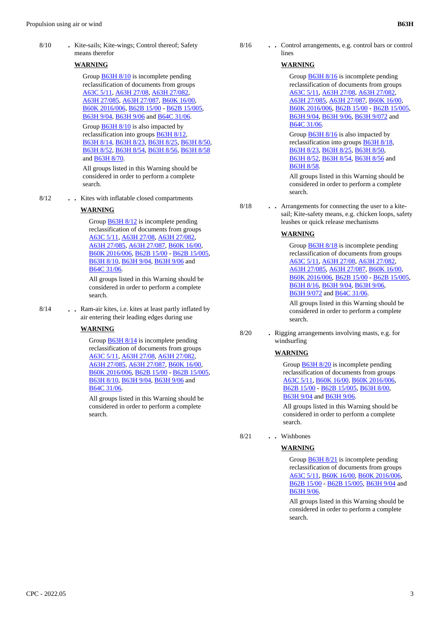8/10 **.** Kite-sails; Kite-wings; Control thereof; Safety means therefor

#### **WARNING**

Group **B63H 8/10** is incomplete pending reclassification of documents from groups A63C 5/11, A63H 27/08, A63H 27/082, A63H 27/085, A63H 27/087, B60K 16/00, B60K 2016/006, B62B 15/00 - B62B 15/005, B63H 9/04, B63H 9/06 and B64C 31/06.

Group B63H 8/10 is also impacted by reclassification into groups B63H 8/12, B63H 8/14, B63H 8/23, B63H 8/25, B63H 8/50, B63H 8/52, B63H 8/54, B63H 8/56, B63H 8/58 and B63H 8/70.

All groups listed in this Warning should be considered in order to perform a complete search.

8/12 **. .** Kites with inflatable closed compartments

#### **WARNING**

Group **B63H 8/12** is incomplete pending reclassification of documents from groups A63C 5/11, A63H 27/08, A63H 27/082, A63H 27/085, A63H 27/087, B60K 16/00, B60K 2016/006, B62B 15/00 - B62B 15/005, B63H 8/10, B63H 9/04, B63H 9/06 and B64C 31/06.

All groups listed in this Warning should be considered in order to perform a complete search.

 8/14 **. .** Ram-air kites, i.e. kites at least partly inflated by air entering their leading edges during use

#### **WARNING**

Group **B63H 8/14** is incomplete pending reclassification of documents from groups A63C 5/11, A63H 27/08, A63H 27/082, A63H 27/085, A63H 27/087, B60K 16/00, B60K 2016/006, B62B 15/00 - B62B 15/005, B63H 8/10, B63H 9/04, B63H 9/06 and B64C 31/06.

All groups listed in this Warning should be considered in order to perform a complete search.

 8/16 **. .** Control arrangements, e.g. control bars or control lines

#### **WARNING**

Group **B63H 8/16** is incomplete pending reclassification of documents from groups A63C 5/11, A63H 27/08, A63H 27/082, A63H 27/085, A63H 27/087, B60K 16/00, B60K 2016/006, B62B 15/00 - B62B 15/005, B63H 9/04, B63H 9/06, B63H 9/072 and B64C 31/06.

Group B63H 8/16 is also impacted by reclassification into groups B63H 8/18, B63H 8/23, B63H 8/25, B63H 8/50, B63H 8/52, B63H 8/54, B63H 8/56 and B63H 8/58.

All groups listed in this Warning should be considered in order to perform a complete search.

 8/18 **. .** Arrangements for connecting the user to a kitesail; Kite-safety means, e.g. chicken loops, safety leashes or quick release mechanisms

### **WARNING**

Group **B63H 8/18** is incomplete pending reclassification of documents from groups A63C 5/11, A63H 27/08, A63H 27/082, A63H 27/085, A63H 27/087, B60K 16/00, B60K 2016/006, B62B 15/00 - B62B 15/005, B63H 8/16, B63H 9/04, B63H 9/06, B63H 9/072 and B64C 31/06.

All groups listed in this Warning should be considered in order to perform a complete search.

 8/20 **.** Rigging arrangements involving masts, e.g. for windsurfing

### **WARNING**

Group **B63H 8/20** is incomplete pending reclassification of documents from groups A63C 5/11, B60K 16/00, B60K 2016/006, B62B 15/00 - B62B 15/005, B63H 8/00, B63H 9/04 and B63H 9/06.

All groups listed in this Warning should be considered in order to perform a complete search.

8/21 **. .** Wishbones

## **WARNING**

Group **B63H 8/21** is incomplete pending reclassification of documents from groups A63C 5/11, B60K 16/00, B60K 2016/006, B62B 15/00 - B62B 15/005, B63H 9/04 and B63H 9/06.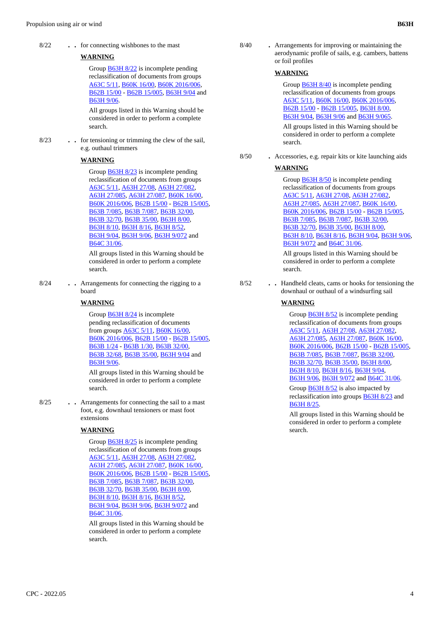8/22 **. .** for connecting wishbones to the mast

## **WARNING**

Group B63H 8/22 is incomplete pending reclassification of documents from groups A63C 5/11, B60K 16/00, B60K 2016/006, B62B 15/00 - B62B 15/005, B63H 9/04 and B63H 9/06.

All groups listed in this Warning should be considered in order to perform a complete search.

 8/23 **. .** for tensioning or trimming the clew of the sail, e.g. outhaul trimmers

## **WARNING**

Group **B63H 8/23** is incomplete pending reclassification of documents from groups A63C 5/11, A63H 27/08, A63H 27/082, A63H 27/085, A63H 27/087, B60K 16/00, B60K 2016/006, B62B 15/00 - B62B 15/005, B63B 7/085, B63B 7/087, B63B 32/00, B63B 32/70, B63B 35/00, B63H 8/00, B63H 8/10, B63H 8/16, B63H 8/52, B63H 9/04, B63H 9/06, B63H 9/072 and B64C 31/06.

All groups listed in this Warning should be considered in order to perform a complete search.

 8/24 **. .** Arrangements for connecting the rigging to a board

### **WARNING**

Group **B63H 8/24** is incomplete pending reclassification of documents from groups A63C 5/11, B60K 16/00, B60K 2016/006, B62B 15/00 - B62B 15/005, B63B 1/24 - B63B 1/30, B63B 32/00, B63B 32/68, B63B 35/00, B63H 9/04 and B63H 9/06.

All groups listed in this Warning should be considered in order to perform a complete search.

 8/25 **. .** Arrangements for connecting the sail to a mast foot, e.g. downhaul tensioners or mast foot extensions

### **WARNING**

Group B63H 8/25 is incomplete pending reclassification of documents from groups A63C 5/11, A63H 27/08, A63H 27/082, A63H 27/085, A63H 27/087, B60K 16/00, B60K 2016/006, B62B 15/00 - B62B 15/005, B63B 7/085, B63B 7/087, B63B 32/00, B63B 32/70, B63B 35/00, B63H 8/00, B63H 8/10, B63H 8/16, B63H 8/52, B63H 9/04, B63H 9/06, B63H 9/072 and B64C 31/06.

All groups listed in this Warning should be considered in order to perform a complete search.

 8/40 **.** Arrangements for improving or maintaining the aerodynamic profile of sails, e.g. cambers, battens or foil profiles

### **WARNING**

Group **B63H 8/40** is incomplete pending reclassification of documents from groups A63C 5/11, B60K 16/00, B60K 2016/006, B62B 15/00 - B62B 15/005, B63H 8/00, B63H 9/04, B63H 9/06 and B63H 9/065.

All groups listed in this Warning should be considered in order to perform a complete search.

8/50 **.** Accessories, e.g. repair kits or kite launching aids

#### **WARNING**

Group B63H 8/50 is incomplete pending reclassification of documents from groups A63C 5/11, A63H 27/08, A63H 27/082, A63H 27/085, A63H 27/087, B60K 16/00, B60K 2016/006, B62B 15/00 - B62B 15/005, B63B 7/085, B63B 7/087, B63B 32/00, B63B 32/70, B63B 35/00, B63H 8/00, B63H 8/10, B63H 8/16, B63H 9/04, B63H 9/06, B63H 9/072 and B64C 31/06.

All groups listed in this Warning should be considered in order to perform a complete search.

 8/52 **. .** Handheld cleats, cams or hooks for tensioning the downhaul or outhaul of a windsurfing sail

## **WARNING**

Group **B63H 8/52** is incomplete pending reclassification of documents from groups A63C 5/11, A63H 27/08, A63H 27/082, A63H 27/085, A63H 27/087, B60K 16/00, B60K 2016/006, B62B 15/00 - B62B 15/005, B63B 7/085, B63B 7/087, B63B 32/00, B63B 32/70, B63B 35/00, B63H 8/00, B63H 8/10, B63H 8/16, B63H 9/04, B63H 9/06, B63H 9/072 and B64C 31/06.

Group B63H 8/52 is also impacted by reclassification into groups B63H 8/23 and B63H 8/25.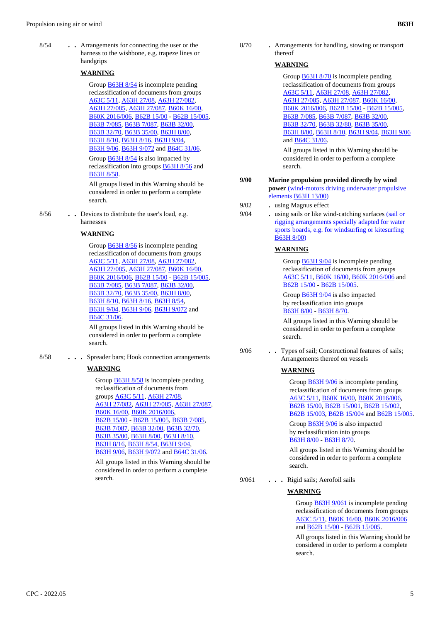8/54 **. .** Arrangements for connecting the user or the harness to the wishbone, e.g. trapeze lines or handgrips

## **WARNING**

Group **B63H 8/54** is incomplete pending reclassification of documents from groups A63C 5/11, A63H 27/08, A63H 27/082, A63H 27/085, A63H 27/087, B60K 16/00, B60K 2016/006, B62B 15/00 - B62B 15/005, B63B 7/085, B63B 7/087, B63B 32/00, B63B 32/70, B63B 35/00, B63H 8/00, B63H 8/10, B63H 8/16, B63H 9/04, B63H 9/06, B63H 9/072 and B64C 31/06.

Group B63H 8/54 is also impacted by reclassification into groups B63H 8/56 and B63H 8/58.

All groups listed in this Warning should be considered in order to perform a complete search.

 8/56 **. .** Devices to distribute the user's load, e.g. harnesses

### **WARNING**

Group **B63H 8/56** is incomplete pending reclassification of documents from groups A63C 5/11, A63H 27/08, A63H 27/082, A63H 27/085, A63H 27/087, B60K 16/00, B60K 2016/006, B62B 15/00 - B62B 15/005, B63B 7/085, B63B 7/087, B63B 32/00, B63B 32/70, B63B 35/00, B63H 8/00, B63H 8/10, B63H 8/16, B63H 8/54, B63H 9/04, B63H 9/06, B63H 9/072 and B64C 31/06.

All groups listed in this Warning should be considered in order to perform a complete search.

8/58 **. . .** Spreader bars; Hook connection arrangements

### **WARNING**

Group **B63H 8/58** is incomplete pending reclassification of documents from groups A63C 5/11, A63H 27/08, A63H 27/082, A63H 27/085, A63H 27/087, B60K 16/00, B60K 2016/006, B62B 15/00 - B62B 15/005, B63B 7/085, B63B 7/087, B63B 32/00, B63B 32/70, B63B 35/00, B63H 8/00, B63H 8/10, B63H 8/16, B63H 8/54, B63H 9/04, B63H 9/06, B63H 9/072 and B64C 31/06.

All groups listed in this Warning should be considered in order to perform a complete search.

 8/70 **.** Arrangements for handling, stowing or transport thereof

### **WARNING**

Group **B63H 8/70** is incomplete pending reclassification of documents from groups A63C 5/11, A63H 27/08, A63H 27/082, A63H 27/085, A63H 27/087, B60K 16/00, B60K 2016/006, B62B 15/00 - B62B 15/005, B63B 7/085, B63B 7/087, B63B 32/00, B63B 32/70, B63B 32/80, B63B 35/00, B63H 8/00, B63H 8/10, B63H 9/04, B63H 9/06 and B64C 31/06.

All groups listed in this Warning should be considered in order to perform a complete search.

 **9/00 Marine propulsion provided directly by wind power** (wind-motors driving underwater propulsive elements B63H 13/00)

- 9/02 **.** using Magnus effect
- 9/04 **.** using sails or like wind-catching surfaces (sail or rigging arrangements specially adapted for water sports boards, e.g. for windsurfing or kitesurfing B63H 8/00)

## **WARNING**

Group B63H 9/04 is incomplete pending reclassification of documents from groups A63C 5/11, B60K 16/00, B60K 2016/006 and B62B 15/00 - B62B 15/005.

Group **B63H 9/04** is also impacted by reclassification into groups B63H 8/00 - B63H 8/70.

All groups listed in this Warning should be considered in order to perform a complete search.

 9/06 **. .** Types of sail; Constructional features of sails; Arrangements thereof on vessels

### **WARNING**

Group **B63H 9/06** is incomplete pending reclassification of documents from groups A63C 5/11, B60K 16/00, B60K 2016/006, B62B 15/00, B62B 15/001, B62B 15/002, B62B 15/003, B62B 15/004 and B62B 15/005.

Group B63H 9/06 is also impacted by reclassification into groups B63H 8/00 - B63H 8/70.

All groups listed in this Warning should be considered in order to perform a complete search.

9/061 **. . .** Rigid sails; Aerofoil sails

### **WARNING**

Group B63H 9/061 is incomplete pending reclassification of documents from groups A63C 5/11, B60K 16/00, B60K 2016/006 and B62B 15/00 - B62B 15/005.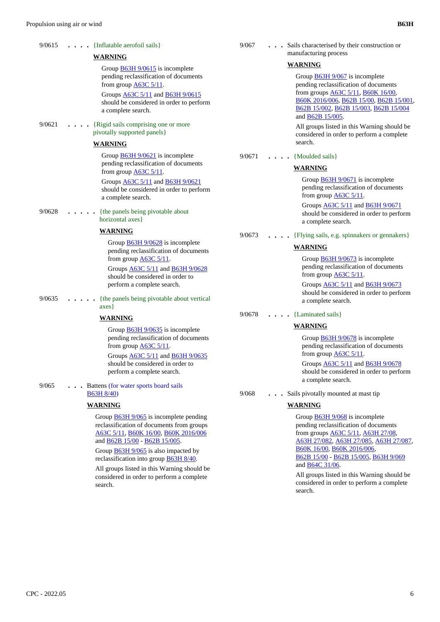| 9/0615 | $\ldots$ $\ldots$ {Inflatable aerofoil sails}                                                                                                                                                                                                                                                                                 | 9/067  | . Sails characterised by their construction or                                                                                                                                                                                                                                                                                                |
|--------|-------------------------------------------------------------------------------------------------------------------------------------------------------------------------------------------------------------------------------------------------------------------------------------------------------------------------------|--------|-----------------------------------------------------------------------------------------------------------------------------------------------------------------------------------------------------------------------------------------------------------------------------------------------------------------------------------------------|
|        | WARNING                                                                                                                                                                                                                                                                                                                       |        | manufacturing process                                                                                                                                                                                                                                                                                                                         |
| 9/0621 | Group $\frac{B63H\frac{9}{0615}}{s}$ is incomplete<br>pending reclassification of documents<br>from group $\underline{A63C}$ 5/11.<br>Groups <b>A63C 5/11</b> and <b>B63H 9/0615</b><br>should be considered in order to perform<br>a complete search.<br>{Rigid sails comprising one or more<br>pivotally supported panels } |        | <b>WARNING</b><br>Group $\frac{B63H\,9/067}{B}$ is incomplete<br>pending reclassification of documents<br>from groups $\underline{\text{A}63C}$ 5/11, $\underline{\text{B}60K}$ 16/00,<br>B60K 2016/006, B62B 15/00, B62B 15/001,<br>B62B 15/002, B62B 15/003, B62B 15/004<br>and B62B 15/005.<br>All groups listed in this Warning should be |
|        | <b>WARNING</b>                                                                                                                                                                                                                                                                                                                |        | considered in order to perform a complete<br>search.                                                                                                                                                                                                                                                                                          |
|        | Group $\underline{B63H}$ 9/0621 is incomplete<br>pending reclassification of documents<br>from group $\triangle$ 63C 5/11.<br>Groups <b>A63C 5/11</b> and <b>B63H 9/0621</b><br>should be considered in order to perform<br>a complete search.                                                                                | 9/0671 | {Moulded sails}<br><b>WARNING</b><br>Group <b>B63H 9/0671</b> is incomplete<br>pending reclassification of documents<br>from group $\triangle$ 63C 5/11.                                                                                                                                                                                      |
| 9/0628 | {the panels being pivotable about<br>horizontal axes}                                                                                                                                                                                                                                                                         |        | Groups <b>A63C 5/11</b> and <b>B63H 9/0671</b><br>should be considered in order to perform<br>a complete search.                                                                                                                                                                                                                              |
|        | <b>WARNING</b>                                                                                                                                                                                                                                                                                                                | 9/0673 | {Flying sails, e.g. spinnakers or gennakers}                                                                                                                                                                                                                                                                                                  |
| 9/0635 | Group <b>B63H 9/0628</b> is incomplete<br>pending reclassification of documents<br>from group $\underline{A63C}$ 5/11.<br>Groups A63C 5/11 and B63H 9/0628<br>should be considered in order to<br>perform a complete search.<br>{the panels being pivotable about vertical                                                    |        | <b>WARNING</b><br>Group $\frac{B63H\frac{9}{0673}}{B63H\frac{9}{160}}$ is incomplete<br>pending reclassification of documents<br>from group $\triangle$ 63C 5/11.<br>Groups <b>A63C 5/11</b> and <b>B63H 9/0673</b><br>should be considered in order to perform<br>a complete search.                                                         |
|        | $axes\}$                                                                                                                                                                                                                                                                                                                      |        |                                                                                                                                                                                                                                                                                                                                               |
|        | <b>WARNING</b>                                                                                                                                                                                                                                                                                                                | 9/0678 | $\cdots$ [Laminated sails]                                                                                                                                                                                                                                                                                                                    |
|        | Group $B63H\frac{9}{0635}$ is incomplete<br>pending reclassification of documents<br>from group $\underline{\mathsf{A}63\mathsf{C}\,5/11}$ .<br>Groups A63C 5/11 and B63H 9/0635<br>should be considered in order to<br>perform a complete search.                                                                            |        | <b>WARNING</b><br>Group $\frac{B63H\frac{9}{0678}}{s}$ is incomplete<br>pending reclassification of documents<br>from group $\underline{A63C}$ 5/11.<br>Groups <b>A63C 5/11</b> and <b>B63H 9/0678</b><br>should be considered in order to perform<br>a complete search.                                                                      |
| 9/065  | Battens (for water sports board sails)<br><b>B63H 8/40)</b>                                                                                                                                                                                                                                                                   | 9/068  | Sails pivotally mounted at mast tip                                                                                                                                                                                                                                                                                                           |
|        | <b>WARNING</b>                                                                                                                                                                                                                                                                                                                |        | <b>WARNING</b>                                                                                                                                                                                                                                                                                                                                |
|        | Group $B63H\,9/065$ is incomplete pending                                                                                                                                                                                                                                                                                     |        | Group $\frac{B63H\,9/068}{B}$ is incomplete                                                                                                                                                                                                                                                                                                   |

reclassification of documents from groups A63C 5/11, B60K 16/00, B60K 2016/006

and B62B 15/00 - B62B 15/005. Group **B63H 9/065** is also impacted by reclassification into group B63H 8/40. All groups listed in this Warning should be considered in order to perform a complete

search.

Group **B63H 9/068** is incomplete pending reclassification of documents from groups A63C 5/11, A63H 27/08, A63H 27/082, A63H 27/085, A63H 27/087, B60K 16/00, B60K 2016/006, B62B 15/00 - B62B 15/005, B63H 9/069 and B64C 31/06.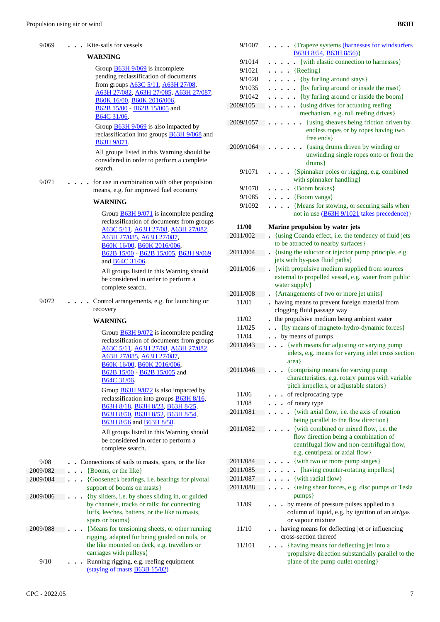9/069 **. . .** Kite-sails for vessels

**WARNING**

Group **B63H 9/069** is incomplete pending reclassification of documents from groups A63C 5/11, A63H 27/08,

|          | <u>A63H 27/082, A63H 27/085, A63H 27/087,</u><br>B60K 16/00, B60K 2016/006,<br>B62B 15/00 - B62B 15/005 and<br>B64C 31/06.                                                                                                                                                                                                                                                                                                                                                                                                                                                                                           |
|----------|----------------------------------------------------------------------------------------------------------------------------------------------------------------------------------------------------------------------------------------------------------------------------------------------------------------------------------------------------------------------------------------------------------------------------------------------------------------------------------------------------------------------------------------------------------------------------------------------------------------------|
|          | Group <b>B63H 9/069</b> is also impacted by<br>reclassification into groups <b>B63H 9/068</b> and<br>B63H 9/071.                                                                                                                                                                                                                                                                                                                                                                                                                                                                                                     |
|          | All groups listed in this Warning should be<br>considered in order to perform a complete<br>search.                                                                                                                                                                                                                                                                                                                                                                                                                                                                                                                  |
| 9/071    | for use in combination with other propulsion<br>means, e.g. for improved fuel economy                                                                                                                                                                                                                                                                                                                                                                                                                                                                                                                                |
|          | WARNING                                                                                                                                                                                                                                                                                                                                                                                                                                                                                                                                                                                                              |
|          | Group <b>B63H 9/071</b> is incomplete pending<br>reclassification of documents from groups<br>A63C 5/11, A63H 27/08, A63H 27/082,<br>A63H 27/085, A63H 27/087,<br>B60K 16/00, B60K 2016/006,<br>B62B 15/00 - B62B 15/005, B63H 9/069<br>and <b>B64C</b> 31/06.                                                                                                                                                                                                                                                                                                                                                       |
|          | All groups listed in this Warning should<br>be considered in order to perform a<br>complete search.                                                                                                                                                                                                                                                                                                                                                                                                                                                                                                                  |
| 9/072    | Control arrangements, e.g. for launching or<br>recovery                                                                                                                                                                                                                                                                                                                                                                                                                                                                                                                                                              |
|          | <b>WARNING</b>                                                                                                                                                                                                                                                                                                                                                                                                                                                                                                                                                                                                       |
| 9/08     | Group $\underline{B63H}$ 9/072 is incomplete pending<br>reclassification of documents from groups<br>A63C 5/11, A63H 27/08, A63H 27/082,<br>A63H 27/085, A63H 27/087,<br>B60K 16/00, B60K 2016/006,<br>B62B 15/00 - B62B 15/005 and<br>B64C 31/06.<br>Group <b>B63H 9/072</b> is also impacted by<br>reclassification into groups <b>B63H 8/16</b> ,<br>B63H 8/18, B63H 8/23, B63H 8/25,<br>B63H 8/50, B63H 8/52, B63H 8/54,<br>B63H 8/56 and B63H 8/58.<br>All groups listed in this Warning should<br>be considered in order to perform a<br>complete search.<br>Connections of sails to masts, spars, or the like |
| 2009/082 | {Booms, or the like}                                                                                                                                                                                                                                                                                                                                                                                                                                                                                                                                                                                                 |
| 2009/084 | {Gooseneck bearings, i.e. bearings for pivotal                                                                                                                                                                                                                                                                                                                                                                                                                                                                                                                                                                       |
| 2009/086 | support of booms on masts}<br>{by sliders, i.e. by shoes sliding in, or guided<br>by channels, tracks or rails; for connecting<br>luffs, leeches, battens, or the like to masts,<br>spars or booms}                                                                                                                                                                                                                                                                                                                                                                                                                  |
| 2009/088 | {Means for tensioning sheets, or other running<br>rigging, adapted for being guided on rails, or<br>the like mounted on deck, e.g. travellers or<br>carriages with pulleys}                                                                                                                                                                                                                                                                                                                                                                                                                                          |
| 9/10     | Running rigging, e.g. reefing equipment<br>(staying of masts $\underline{B63B}$ 15/02)                                                                                                                                                                                                                                                                                                                                                                                                                                                                                                                               |

| 9/1007    | {Trapeze systems (harnesses for windsurfers<br>B63H 8/54, B63H 8/56)}                                             |
|-----------|-------------------------------------------------------------------------------------------------------------------|
| 9/1014    | {with elastic connection to harnesses}                                                                            |
| 9/1021    | $\ldots$ {Reefing}                                                                                                |
|           |                                                                                                                   |
| 9/1028    | {by furling around stays}<br>$\ddot{\phantom{0}}$                                                                 |
| 9/1035    | {by furling around or inside the mast}<br>$\bullet$                                                               |
| 9/1042    | {by furling around or inside the boom}                                                                            |
| 2009/105  | {using drives for actuating reefing<br>.                                                                          |
|           | mechanism, e.g. roll reefing drives}                                                                              |
| 2009/1057 | {using sheaves being friction driven by<br>endless ropes or by ropes having two                                   |
|           | free ends }                                                                                                       |
| 2009/1064 | {using drums driven by winding or<br>unwinding single ropes onto or from the<br>drums                             |
| 9/1071    | {Spinnaker poles or rigging, e.g. combined<br>with spinnaker handling}                                            |
| 9/1078    | $\cdot$ {Boom brakes}                                                                                             |
| 9/1085    | $\ldots$ {Boom vangs}                                                                                             |
| 9/1092    | {Means for stowing, or securing sails when                                                                        |
|           | not in use (B63H 9/1021 takes precedence)}                                                                        |
| 11/00     | Marine propulsion by water jets                                                                                   |
| 2011/002  | {using Coanda effect, i.e. the tendency of fluid jets                                                             |
|           | to be attracted to nearby surfaces}                                                                               |
| 2011/004  | {using the eductor or injector pump principle, e.g.<br>$\ddot{\phantom{0}}$                                       |
|           | jets with by-pass fluid paths}                                                                                    |
| 2011/006  | {with propulsive medium supplied from sources                                                                     |
|           | external to propelled vessel, e.g. water from public                                                              |
|           | water supply }                                                                                                    |
| 2011/008  | {Arrangements of two or more jet units}                                                                           |
| 11/01     | having means to prevent foreign material from                                                                     |
|           | clogging fluid passage way                                                                                        |
| 11/02     | the propulsive medium being ambient water                                                                         |
| 11/025    | {by means of magneto-hydro-dynamic forces}<br>$\ddot{\phantom{a}}$                                                |
| 11/04     | by means of pumps                                                                                                 |
| 2011/043  | {with means for adjusting or varying pump<br>$\ddot{\phantom{a}}$                                                 |
|           | inlets, e.g. means for varying inlet cross section<br>area}                                                       |
| 2011/046  | {comprising means for varying pump                                                                                |
|           | characteristics, e.g. rotary pumps with variable<br>pitch impellers, or adjustable stators}                       |
| 11/06     | of reciprocating type                                                                                             |
| 11/08     | of rotary type                                                                                                    |
| 2011/081  | {with axial flow, i.e. the axis of rotation<br>$\ddot{\phantom{0}}$                                               |
|           | being parallel to the flow direction}                                                                             |
| 2011/082  | {with combined or mixed flow, i.e. the                                                                            |
|           | flow direction being a combination of                                                                             |
|           | centrifugal flow and non-centrifugal flow,                                                                        |
|           | e.g. centripetal or axial flow}                                                                                   |
| 2011/084  | {with two or more pump stages}                                                                                    |
| 2011/085  | {having counter-rotating impellers}                                                                               |
| 2011/087  | {with radial flow}                                                                                                |
| 2011/088  | {using shear forces, e.g. disc pumps or Tesla                                                                     |
|           | pumps }                                                                                                           |
| 11/09     | by means of pressure pulses applied to a<br>column of liquid, e.g. by ignition of an air/gas<br>or vapour mixture |
| 11/10     | having means for deflecting jet or influencing                                                                    |
|           | cross-section thereof                                                                                             |
| 11/101    | {having means for deflecting jet into a                                                                           |
|           | propulsive direction substantially parallel to the<br>plane of the pump outlet opening}                           |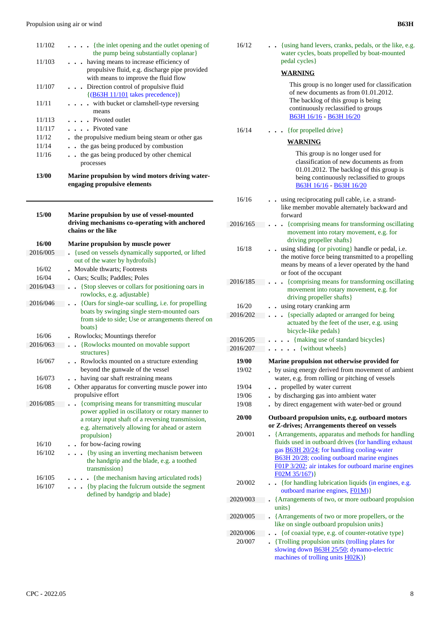| 13/00  | Marine propulsion by wind motors driving water-<br>engaging propulsive elements        |
|--------|----------------------------------------------------------------------------------------|
|        | processes                                                                              |
| 11/16  | the gas being produced by other chemical                                               |
| 11/14  | the gas being produced by combustion                                                   |
| 11/12  | the propulsive medium being steam or other gas                                         |
| 11/117 | $\cdots$ Pivoted vane                                                                  |
| 11/113 | . Pivoted outlet                                                                       |
|        | means                                                                                  |
| 11/11  | with bucket or clamshell-type reversing                                                |
|        | $\{(B63H 11/101 takes precedence)\}\$                                                  |
| 11/107 | Direction control of propulsive fluid                                                  |
|        | propulsive fluid, e.g. discharge pipe provided<br>with means to improve the fluid flow |
| 11/103 | having means to increase efficiency of                                                 |
|        | the pump being substantially coplanar                                                  |
| 11/102 | $\cdots$ (the inlet opening and the outlet opening of                                  |
|        |                                                                                        |

| 15/00    | Marine propulsion by use of vessel-mounted<br>driving mechanisms co-operating with anchored<br>chains or the like                                                                                                       |
|----------|-------------------------------------------------------------------------------------------------------------------------------------------------------------------------------------------------------------------------|
| 16/00    | Marine propulsion by muscle power                                                                                                                                                                                       |
| 2016/005 | {used on vessels dynamically supported, or lifted                                                                                                                                                                       |
|          | out of the water by hydrofoils }                                                                                                                                                                                        |
| 16/02    | Movable thwarts; Footrests                                                                                                                                                                                              |
| 16/04    | Oars; Sculls; Paddles; Poles                                                                                                                                                                                            |
| 2016/043 | {Stop sleeves or collars for positioning oars in<br>$\ddot{\phantom{0}}$<br>rowlocks, e.g. adjustable}                                                                                                                  |
| 2016/046 | {Oars for single-oar sculling, i.e. for propelling<br>boats by swinging single stern-mounted oars<br>from side to side; Use or arrangements thereof on<br>boats }                                                       |
| 16/06    | Rowlocks; Mountings therefor                                                                                                                                                                                            |
| 2016/063 | {Rowlocks mounted on movable support<br>structures }                                                                                                                                                                    |
| 16/067   | Rowlocks mounted on a structure extending<br>beyond the gunwale of the vessel                                                                                                                                           |
| 16/073   | . having oar shaft restraining means                                                                                                                                                                                    |
| 16/08    | Other apparatus for converting muscle power into<br>propulsive effort                                                                                                                                                   |
| 2016/085 | {comprising means for transmitting muscular<br>power applied in oscillatory or rotary manner to<br>a rotary input shaft of a reversing transmission,<br>e.g. alternatively allowing for ahead or astern<br>propulsion } |
| 16/10    | . . for bow-facing rowing                                                                                                                                                                                               |
| 16/102   | {by using an inverting mechanism between<br>the handgrip and the blade, e.g. a toothed<br>transmission}                                                                                                                 |
| 16/105   | {the mechanism having articulated rods}                                                                                                                                                                                 |
| 16/107   | (by placing the fulcrum outside the segment<br>defined by handgrip and blade}                                                                                                                                           |

| 16/12    | {using hand levers, cranks, pedals, or the like, e.g.<br>water cycles, boats propelled by boat-mounted<br>pedal cycles}                                                                                                                                                               |
|----------|---------------------------------------------------------------------------------------------------------------------------------------------------------------------------------------------------------------------------------------------------------------------------------------|
|          | <b>WARNING</b>                                                                                                                                                                                                                                                                        |
|          | This group is no longer used for classification<br>of new documents as from 01.01.2012.<br>The backlog of this group is being<br>continuously reclassified to groups<br>B63H 16/16 - B63H 16/20                                                                                       |
| 16/14    | {for propelled drive}                                                                                                                                                                                                                                                                 |
|          | WARNING                                                                                                                                                                                                                                                                               |
|          | This group is no longer used for<br>classification of new documents as from<br>01.01.2012. The backlog of this group is<br>being continuously reclassified to groups<br>B63H 16/16 - B63H 16/20                                                                                       |
| 16/16    | using reciprocating pull cable, i.e. a strand-<br>like member movable alternately backward and<br>forward                                                                                                                                                                             |
| 2016/165 | {comprising means for transforming oscillating<br>movement into rotary movement, e.g. for<br>driving propeller shafts }                                                                                                                                                               |
| 16/18    | using sliding {or pivoting} handle or pedal, i.e.<br>the motive force being transmitted to a propelling<br>means by means of a lever operated by the hand<br>or foot of the occupant                                                                                                  |
| 2016/185 | {comprising means for transforming oscillating<br>movement into rotary movement, e.g. for<br>driving propeller shafts}                                                                                                                                                                |
| 16/20    | using rotary cranking arm                                                                                                                                                                                                                                                             |
| 2016/202 | {specially adapted or arranged for being<br>$\ddot{\phantom{a}}$<br>actuated by the feet of the user, e.g. using<br>bicycle-like pedals}                                                                                                                                              |
| 2016/205 | . {making use of standard bicycles}                                                                                                                                                                                                                                                   |
| 2016/207 | • {without wheels}                                                                                                                                                                                                                                                                    |
| 19/00    | Marine propulsion not otherwise provided for                                                                                                                                                                                                                                          |
| 19/02    | by using energy derived from movement of ambient<br>water, e.g. from rolling or pitching of vessels                                                                                                                                                                                   |
| 19/04    | • propelled by water current                                                                                                                                                                                                                                                          |
| 19/06    | by discharging gas into ambient water                                                                                                                                                                                                                                                 |
| 19/08    | by direct engagement with water-bed or ground                                                                                                                                                                                                                                         |
| 20/00    | Outboard propulsion units, e.g. outboard motors                                                                                                                                                                                                                                       |
|          | or Z-drives; Arrangements thereof on vessels                                                                                                                                                                                                                                          |
| 20/001   | {Arrangements, apparatus and methods for handling<br>fluids used in outboard drives (for handling exhaust<br>gas <b>B63H 20/24</b> ; for handling cooling-water<br>B63H 20/28; cooling outboard marine engines<br>F01P 3/202; air intakes for outboard marine engines<br>F02M 35/167) |
| 20/002   | {for handling lubrication liquids (in engines, e.g.<br>outboard marine engines, F01M)}                                                                                                                                                                                                |
| 2020/003 | {Arrangements of two, or more outboard propulsion<br>units }                                                                                                                                                                                                                          |
| 2020/005 | {Arrangements of two or more propellers, or the<br>like on single outboard propulsion units}                                                                                                                                                                                          |
| 2020/006 | {of coaxial type, e.g. of counter-rotative type}                                                                                                                                                                                                                                      |
| 20/007   | . {Trolling propulsion units (trolling plates for                                                                                                                                                                                                                                     |
|          | slowing down <b>B63H 25/50</b> ; dynamo-electric                                                                                                                                                                                                                                      |

machines of trolling units **H02K**)}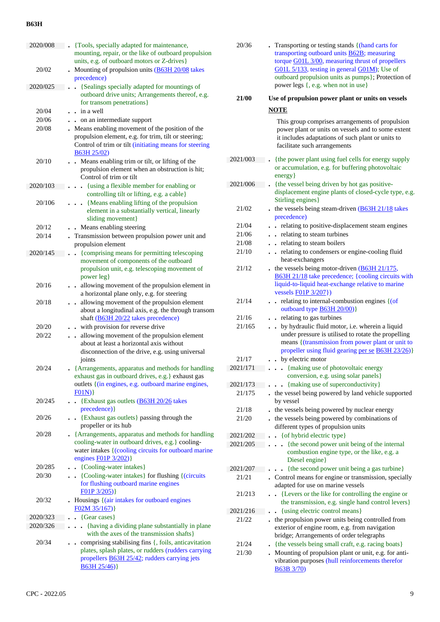| 2020/008 | . {Tools, specially adapted for maintenance,                                                                                  |
|----------|-------------------------------------------------------------------------------------------------------------------------------|
|          | mounting, repair, or the like of outboard propulsion                                                                          |
|          | units, e.g. of outboard motors or Z-drives}                                                                                   |
| 20/02    | Mounting of propulsion units (B63H 20/08 takes<br>precedence)                                                                 |
| 2020/025 | {Sealings specially adapted for mountings of                                                                                  |
|          | outboard drive units; Arrangements thereof, e.g.                                                                              |
|          | for transom penetrations }                                                                                                    |
| 20/04    | $\frac{1}{2}$ in a well                                                                                                       |
| 20/06    | . on an intermediate support                                                                                                  |
| 20/08    | Means enabling movement of the position of the                                                                                |
|          | propulsion element, e.g. for trim, tilt or steering;<br>Control of trim or tilt (initiating means for steering<br>B63H 25/02) |
| 20/10    | • Means enabling trim or tilt, or lifting of the<br>propulsion element when an obstruction is hit;<br>Control of trim or tilt |
| 2020/103 | {using a flexible member for enabling or<br>$\ddot{\phantom{0}}$                                                              |
|          | controlling tilt or lifting, e.g. a cable}                                                                                    |
| 20/106   | . {Means enabling lifting of the propulsion<br>element in a substantially vertical, linearly                                  |
| 20/12    | sliding movement}<br>Means enabling steering                                                                                  |
| 20/14    | . Transmission between propulsion power unit and                                                                              |
|          | propulsion element                                                                                                            |
| 2020/145 | {comprising means for permitting telescoping<br>$\ddot{\phantom{a}}$                                                          |
|          | movement of components of the outboard                                                                                        |
|          | propulsion unit, e.g. telescoping movement of                                                                                 |
|          | power leg}                                                                                                                    |
| 20/16    | allowing movement of the propulsion element in<br>a horizontal plane only, e.g. for steering                                  |
| 20/18    | allowing movement of the propulsion element                                                                                   |
|          | about a longitudinal axis, e.g. the through transom                                                                           |
|          | shaft (B63H 20/22 takes precedence)                                                                                           |
| 20/20    | with provision for reverse drive<br>$\bullet$                                                                                 |
| 20/22    | allowing movement of the propulsion element                                                                                   |
|          | about at least a horizontal axis without<br>disconnection of the drive, e.g. using universal                                  |
|          | joints                                                                                                                        |
| 20/24    | {Arrangements, apparatus and methods for handling                                                                             |
|          | exhaust gas in outboard drives, e.g.} exhaust gas                                                                             |
|          | outlets { (in engines, e.g. outboard marine engines,                                                                          |
|          | FO1N)                                                                                                                         |
| 20/245   | • {Exhaust gas outlets $(B63H 20/26)$ takes                                                                                   |
| 20/26    | precedence) }<br>{Exhaust gas outlets} passing through the                                                                    |
|          | propeller or its hub                                                                                                          |
| 20/28    | • {Arrangements, apparatus and methods for handling                                                                           |
|          | cooling-water in outboard drives, e.g.} cooling-                                                                              |
|          | water intakes {(cooling circuits for outboard marine                                                                          |
|          | engines <b>F01P</b> 3/202)}                                                                                                   |
| 20/285   | • {Cooling-water intakes}                                                                                                     |
| 20/30    | • {Cooling-water intakes} for flushing {(circuits)}<br>for flushing outboard marine engines                                   |
|          | FO1P 3/205)                                                                                                                   |
| 20/32    | . Housings { (air intakes for outboard engines                                                                                |
|          | F02M 35/167)                                                                                                                  |
| 2020/323 | $\cdot$ {Gear cases}                                                                                                          |
| 2020/326 | . {having a dividing plane substantially in plane                                                                             |
|          | with the axes of the transmission shafts }                                                                                    |
| 20/34    | comprising stabilising fins {, foils, anticavitation<br>plates, splash plates, or rudders (rudders carrying                   |
|          | propellers <b>B63H 25/42</b> ; rudders carrying jets                                                                          |
|          | $B63H 25/46$ }                                                                                                                |
|          |                                                                                                                               |

|          | transporting outboard units <b>B62B</b> ; measuring<br>torque G01L 3/00, measuring thrust of propellers<br>G01L 5/133, testing in general G01M); Use of<br>outboard propulsion units as pumps}; Protection of<br>power legs {, e.g. when not in use} |
|----------|------------------------------------------------------------------------------------------------------------------------------------------------------------------------------------------------------------------------------------------------------|
| 21/00    | Use of propulsion power plant or units on vessels                                                                                                                                                                                                    |
|          | <b>NOTE</b>                                                                                                                                                                                                                                          |
|          | This group comprises arrangements of propulsion<br>power plant or units on vessels and to some extent<br>it includes adaptations of such plant or units to<br>facilitate such arrangements                                                           |
| 2021/003 | {the power plant using fuel cells for energy supply<br>or accumulation, e.g. for buffering photovoltaic<br>energy }                                                                                                                                  |
| 2021/006 | {the vessel being driven by hot gas positive-<br>displacement engine plants of closed-cycle type, e.g.<br>Stirling engines}                                                                                                                          |
| 21/02    | . the vessels being steam-driven $(B63H 21/18)$ takes<br>precedence)                                                                                                                                                                                 |
| 21/04    | . . relating to positive-displacement steam engines                                                                                                                                                                                                  |
| 21/06    | . . relating to steam turbines                                                                                                                                                                                                                       |
| 21/08    | . . relating to steam boilers                                                                                                                                                                                                                        |
| 21/10    | relating to condensers or engine-cooling fluid<br>$\ddot{\phantom{0}}$<br>heat-exchangers                                                                                                                                                            |
| 21/12    | . the vessels being motor-driven $(B63H 21/175,$<br>B63H 21/18 take precedence; {cooling circuits with<br>liquid-to-liquid heat-exchange relative to marine<br>vessels <b>F01P</b> 3/207})                                                           |
| 21/14    | . relating to internal-combustion engines { (of<br>outboard type <b>B63H 20/00</b> )}                                                                                                                                                                |
| 21/16    | . relating to gas turbines                                                                                                                                                                                                                           |
| 21/165   | . . by hydraulic fluid motor, i.e. wherein a liquid<br>under pressure is utilised to rotate the propelling<br>means { (transmission from power plant or unit to<br>propeller using fluid gearing per se B63H 23/26)}                                 |
| 21/17    | by electric motor                                                                                                                                                                                                                                    |
| 2021/171 | {making use of photovoltaic energy<br>conversion, e.g. using solar panels}                                                                                                                                                                           |
| 2021/173 | . {making use of superconductivity}                                                                                                                                                                                                                  |
| 21/175   | . the vessel being powered by land vehicle supported<br>by vessel                                                                                                                                                                                    |
| 21/18    | . the vessels being powered by nuclear energy                                                                                                                                                                                                        |
| 21/20    | . the vessels being powered by combinations of<br>different types of propulsion units                                                                                                                                                                |
| 2021/202 | {of hybrid electric type}                                                                                                                                                                                                                            |
| 2021/205 | {the second power unit being of the internal<br>combustion engine type, or the like, e.g. a<br>Diesel engine}                                                                                                                                        |
| 2021/207 | {the second power unit being a gas turbine}                                                                                                                                                                                                          |
| 21/21    | . Control means for engine or transmission, specially<br>adapted for use on marine vessels                                                                                                                                                           |
| 21/213   | {Levers or the like for controlling the engine or<br>the transmission, e.g. single hand control levers}                                                                                                                                              |
| 2021/216 | {using electric control means}                                                                                                                                                                                                                       |
| 21/22    | the propulsion power units being controlled from<br>exterior of engine room, e.g. from navigation<br>bridge; Arrangements of order telegraphs                                                                                                        |
| 21/24    | {the vessels being small craft, e.g. racing boats}                                                                                                                                                                                                   |
| 21/30    | Mounting of propulsion plant or unit, e.g. for anti-<br>vibration purposes (hull reinforcements therefor                                                                                                                                             |

B63B 3/70)

20/36 **.** Transporting or testing stands {(hand carts for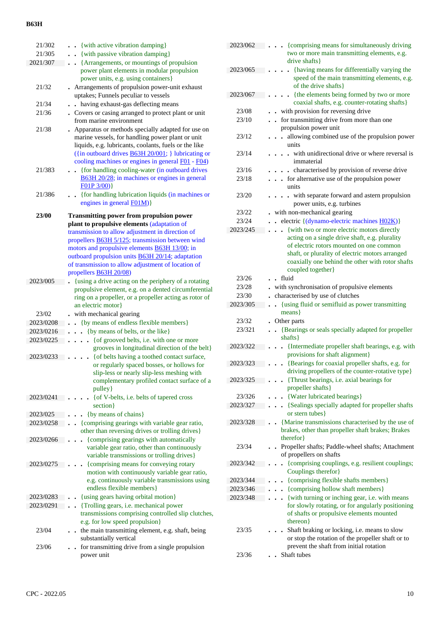| 21/302    | • {with active vibration damping}                                                                                                                                                                                                                                                 |
|-----------|-----------------------------------------------------------------------------------------------------------------------------------------------------------------------------------------------------------------------------------------------------------------------------------|
| 21/305    | {with passive vibration damping}                                                                                                                                                                                                                                                  |
| 2021/307  | {Arrangements, or mountings of propulsion                                                                                                                                                                                                                                         |
|           | power plant elements in modular propulsion                                                                                                                                                                                                                                        |
|           | power units, e.g. using containers}                                                                                                                                                                                                                                               |
| 21/32     | Arrangements of propulsion power-unit exhaust                                                                                                                                                                                                                                     |
|           | uptakes; Funnels peculiar to vessels                                                                                                                                                                                                                                              |
| 21/34     | . having exhaust-gas deflecting means                                                                                                                                                                                                                                             |
| 21/36     | . Covers or casing arranged to protect plant or unit                                                                                                                                                                                                                              |
|           | from marine environment                                                                                                                                                                                                                                                           |
| 21/38     | Apparatus or methods specially adapted for use on<br>marine vessels, for handling power plant or unit<br>liquids, e.g. lubricants, coolants, fuels or the like<br>({in outboard drives <b>B63H 20/001</b> ; } lubricating or<br>cooling machines or engines in general F01 - F04) |
| 21/383    | {for handling cooling-water (in outboard drives                                                                                                                                                                                                                                   |
|           | B63H 20/28; in machines or engines in general                                                                                                                                                                                                                                     |
|           | FO1P 3/00)                                                                                                                                                                                                                                                                        |
| 21/386    | • {for handling lubrication liquids (in machines or                                                                                                                                                                                                                               |
|           | engines in general FO1M) }                                                                                                                                                                                                                                                        |
|           |                                                                                                                                                                                                                                                                                   |
| 23/00     | <b>Transmitting power from propulsion power</b>                                                                                                                                                                                                                                   |
|           | plant to propulsive elements (adaptation of                                                                                                                                                                                                                                       |
|           | transmission to allow adjustment in direction of                                                                                                                                                                                                                                  |
|           | propellers <b>B63H 5/125</b> ; transmission between wind                                                                                                                                                                                                                          |
|           | motors and propulsive elements <b>B63H 13/00</b> ; in                                                                                                                                                                                                                             |
|           | outboard propulsion units <b>B63H 20/14</b> ; adaptation                                                                                                                                                                                                                          |
|           | of transmission to allow adjustment of location of                                                                                                                                                                                                                                |
|           | propellers <b>B63H 20/08</b> )                                                                                                                                                                                                                                                    |
| 2023/005  | {using a drive acting on the periphery of a rotating<br>propulsive element, e.g. on a dented circumferential<br>ring on a propeller, or a propeller acting as rotor of                                                                                                            |
|           | an electric motor}                                                                                                                                                                                                                                                                |
| 23/02     | with mechanical gearing                                                                                                                                                                                                                                                           |
| 2023/0208 | • {by means of endless flexible members}                                                                                                                                                                                                                                          |
| 2023/0216 | {by means of belts, or the like}                                                                                                                                                                                                                                                  |
| 2023/0225 | {of grooved belts, i.e. with one or more<br>$\ddot{\phantom{a}}$                                                                                                                                                                                                                  |
|           | grooves in longitudinal direction of the belt}                                                                                                                                                                                                                                    |
| 2023/0233 | {of belts having a toothed contact surface,                                                                                                                                                                                                                                       |
|           | or regularly spaced bosses, or hollows for<br>slip-less or nearly slip-less meshing with<br>complementary profiled contact surface of a<br>pulley}                                                                                                                                |
| 2023/0241 | {of V-belts, i.e. belts of tapered cross                                                                                                                                                                                                                                          |
|           | section }                                                                                                                                                                                                                                                                         |
| 2023/025  | {by means of chains}                                                                                                                                                                                                                                                              |
| 2023/0258 | {comprising gearings with variable gear ratio,                                                                                                                                                                                                                                    |
|           | other than reversing drives or trolling drives}                                                                                                                                                                                                                                   |
| 2023/0266 | {comprising gearings with automatically<br>variable gear ratio, other than continuously<br>variable transmissions or trolling drives}                                                                                                                                             |
| 2023/0275 | {comprising means for conveying rotary                                                                                                                                                                                                                                            |
|           | motion with continuously variable gear ratio,<br>e.g. continuously variable transmissions using<br>endless flexible members}                                                                                                                                                      |
| 2023/0283 | {using gears having orbital motion}                                                                                                                                                                                                                                               |
| 2023/0291 | {Trolling gears, i.e. mechanical power                                                                                                                                                                                                                                            |
|           | transmissions comprising controlled slip clutches,<br>e.g. for low speed propulsion}                                                                                                                                                                                              |
| 23/04     | the main transmitting element, e.g. shaft, being<br>substantially vertical                                                                                                                                                                                                        |
| 23/06     | for transmitting drive from a single propulsion<br>power unit                                                                                                                                                                                                                     |

| 2023/062 | {comprising means for simultaneously driving<br>two or more main transmitting elements, e.g.<br>drive shafts }                                               |
|----------|--------------------------------------------------------------------------------------------------------------------------------------------------------------|
| 2023/065 | {having means for differentially varying the<br>speed of the main transmitting elements, e.g.<br>of the drive shafts }                                       |
| 2023/067 | {the elements being formed by two or more<br>coaxial shafts, e.g. counter-rotating shafts}                                                                   |
| 23/08    | . with provision for reversing drive                                                                                                                         |
| 23/10    | for transmitting drive from more than one<br>propulsion power unit                                                                                           |
| 23/12    | allowing combined use of the propulsion power<br>units                                                                                                       |
| 23/14    | with unidirectional drive or where reversal is<br>immaterial                                                                                                 |
| 23/16    | . characterised by provision of reverse drive                                                                                                                |
| 23/18    | for alternative use of the propulsion power<br>$\ddot{\phantom{0}}$<br>units                                                                                 |
| 23/20    | with separate forward and astern propulsion<br>$\ddot{\phantom{0}}$<br>power units, e.g. turbines                                                            |
| 23/22    | with non-mechanical gearing                                                                                                                                  |
| 23/24    | - electric $\{(dynamic-electric machines H02K)\}$                                                                                                            |
| 2023/245 | {with two or more electric motors directly                                                                                                                   |
|          | acting on a single drive shaft, e.g. plurality<br>of electric rotors mounted on one common<br>shaft, or plurality of electric motors arranged                |
|          | coaxially one behind the other with rotor shafts<br>coupled together}                                                                                        |
| 23/26    | . fluid                                                                                                                                                      |
| 23/28    | - with synchronisation of propulsive elements                                                                                                                |
| 23/30    | characterised by use of clutches                                                                                                                             |
| 2023/305 | {using fluid or semifluid as power transmitting<br>$\overline{a}$                                                                                            |
|          | $means\}$                                                                                                                                                    |
| 23/32    | Other parts                                                                                                                                                  |
| 23/321   | {Bearings or seals specially adapted for propeller<br>shafts }                                                                                               |
| 2023/322 | {Intermediate propeller shaft bearings, e.g. with<br>provisions for shaft alignment}                                                                         |
| 2023/323 |                                                                                                                                                              |
|          | {Bearings for coaxial propeller shafts, e.g. for<br>driving propellers of the counter-rotative type}                                                         |
| 2023/325 | {Thrust bearings, i.e. axial bearings for<br>propeller shafts}                                                                                               |
| 23/326   | {Water lubricated bearings}                                                                                                                                  |
| 2023/327 | {Sealings specially adapted for propeller shafts<br>or stern tubes }                                                                                         |
| 2023/328 | {Marine transmissions characterised by the use of                                                                                                            |
|          | brakes, other than propeller shaft brakes; Brakes                                                                                                            |
|          | therefor }                                                                                                                                                   |
| 23/34    | Propeller shafts; Paddle-wheel shafts; Attachment<br>of propellers on shafts                                                                                 |
| 2023/342 | {comprising couplings, e.g. resilient couplings;<br>Couplings therefor }                                                                                     |
| 2023/344 | {comprising flexible shafts members}                                                                                                                         |
| 2023/346 | {comprising hollow shaft members}                                                                                                                            |
| 2023/348 | {with turning or inching gear, i.e. with means<br>for slowly rotating, or for angularly positioning<br>of shafts or propulsive elements mounted<br>thereon } |
| 23/35    | Shaft braking or locking, i.e. means to slow<br>or stop the rotation of the propeller shaft or to<br>prevent the shaft from initial rotation<br>Shaft tubes  |